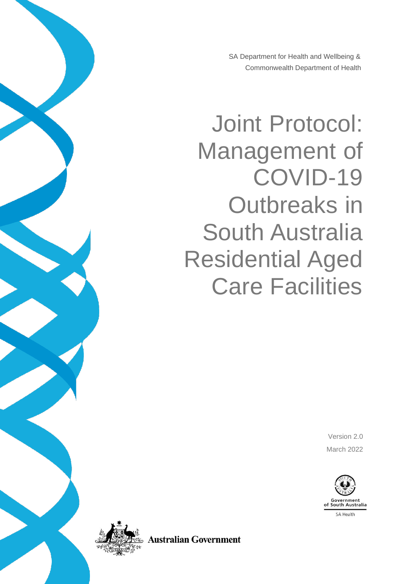SA Department for Health and Wellbeing & Commonwealth Department of Health

# Joint Protocol: Management of COVID-19 Outbreaks in South Australia Residential Aged Care Facilities

Version 2.0 March 2022





**Australian Government**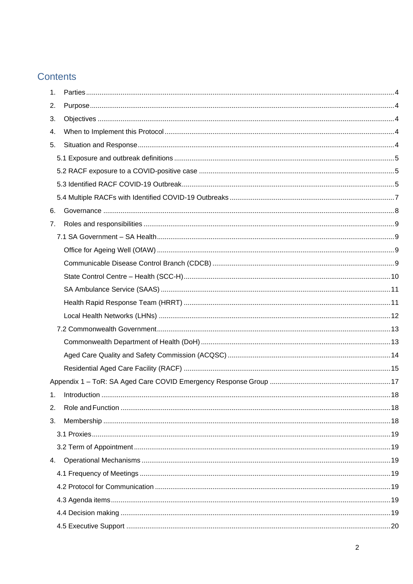# Contents

| 1. |  |
|----|--|
| 2. |  |
| 3. |  |
| 4. |  |
| 5. |  |
|    |  |
|    |  |
|    |  |
|    |  |
| 6. |  |
| 7. |  |
|    |  |
|    |  |
|    |  |
|    |  |
|    |  |
|    |  |
|    |  |
|    |  |
|    |  |
|    |  |
|    |  |
|    |  |
| 1. |  |
| 2. |  |
| 3. |  |
|    |  |
|    |  |
| 4. |  |
|    |  |
|    |  |
|    |  |
|    |  |
|    |  |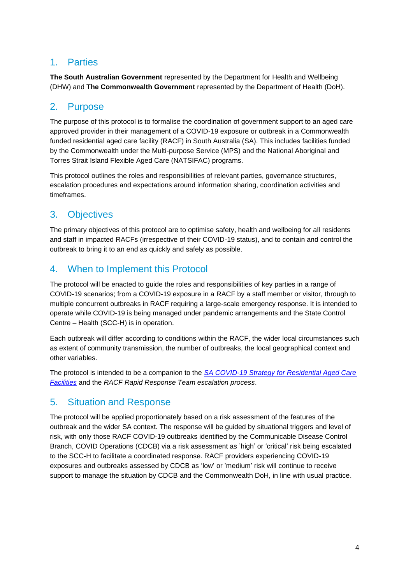# <span id="page-3-0"></span>1. Parties

**The South Australian Government** represented by the Department for Health and Wellbeing (DHW) and **The Commonwealth Government** represented by the Department of Health (DoH).

## <span id="page-3-1"></span>2. Purpose

The purpose of this protocol is to formalise the coordination of government support to an aged care approved provider in their management of a COVID-19 exposure or outbreak in a Commonwealth funded residential aged care facility (RACF) in South Australia (SA). This includes facilities funded by the Commonwealth under the Multi-purpose Service (MPS) and the National Aboriginal and Torres Strait Island Flexible Aged Care (NATSIFAC) programs.

This protocol outlines the roles and responsibilities of relevant parties, governance structures, escalation procedures and expectations around information sharing, coordination activities and timeframes.

# <span id="page-3-2"></span>3. Objectives

The primary objectives of this protocol are to optimise safety, health and wellbeing for all residents and staff in impacted RACFs (irrespective of their COVID-19 status), and to contain and control the outbreak to bring it to an end as quickly and safely as possible.

## <span id="page-3-3"></span>4. When to Implement this Protocol

The protocol will be enacted to guide the roles and responsibilities of key parties in a range of COVID-19 scenarios; from a COVID-19 exposure in a RACF by a staff member or visitor, through to multiple concurrent outbreaks in RACF requiring a large-scale emergency response. It is intended to operate while COVID-19 is being managed under pandemic arrangements and the State Control Centre – Health (SCC-H) is in operation.

Each outbreak will differ according to conditions within the RACF, the wider local circumstances such as extent of community transmission, the number of outbreaks, the local geographical context and other variables.

The protocol is intended to be a companion to the *[SA COVID-19 Strategy for Residential Aged Care](http://www.sahealth.sa.gov.au/covidagedcare)  [Facilities](http://www.sahealth.sa.gov.au/covidagedcare)* and the *RACF Rapid Response Team escalation process*.

## <span id="page-3-4"></span>5. Situation and Response

The protocol will be applied proportionately based on a risk assessment of the features of the outbreak and the wider SA context. The response will be guided by situational triggers and level of risk, with only those RACF COVID-19 outbreaks identified by the Communicable Disease Control Branch, COVID Operations (CDCB) via a risk assessment as 'high' or 'critical' risk being escalated to the SCC-H to facilitate a coordinated response. RACF providers experiencing COVID-19 exposures and outbreaks assessed by CDCB as 'low' or 'medium' risk will continue to receive support to manage the situation by CDCB and the Commonwealth DoH, in line with usual practice.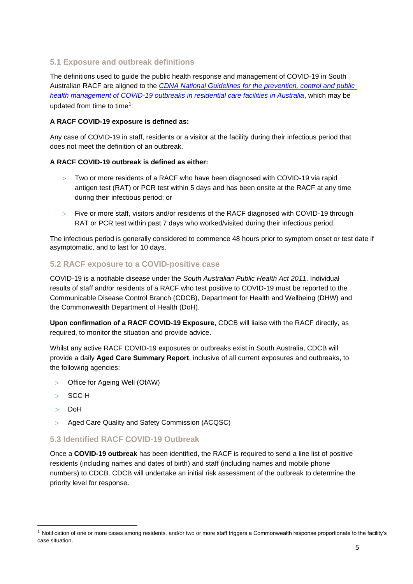## <span id="page-4-0"></span>**5.1 Exposure and outbreak definitions**

The definitions used to guide the public health response and management of COVID-19 in South Australian RACF are aligned to the *[CDNA National Guidelines for the prevention, control and public](https://www.health.gov.au/resources/publications/cdna-national-guidelines-for-the-prevention-control-and-public-health-management-of-covid-19-outbreaks-in-residential-care-facilities-in-australia)  [health management of COVID-19 outbreaks in residential care facilities in Australia](https://www.health.gov.au/resources/publications/cdna-national-guidelines-for-the-prevention-control-and-public-health-management-of-covid-19-outbreaks-in-residential-care-facilities-in-australia), which may be* updated from time to time<sup>1</sup>:

#### **A RACF COVID-19 exposure is defined as:**

Any case of COVID-19 in staff, residents or a visitor at the facility during their infectious period that does not meet the definition of an outbreak.

#### **A RACF COVID-19 outbreak is defined as either:**

- Two or more residents of a RACF who have been diagnosed with COVID-19 via rapid antigen test (RAT) or PCR test within 5 days and has been onsite at the RACF at any time during their infectious period; or
- Five or more staff, visitors and/or residents of the RACF diagnosed with COVID-19 through RAT or PCR test within past 7 days who worked/visited during their infectious period.

The infectious period is generally considered to commence 48 hours prior to symptom onset or test date if asymptomatic, and to last for 10 days.

## <span id="page-4-1"></span>**5.2 RACF exposure to a COVID-positive case**

COVID-19 is a notifiable disease under the *South Australian Public Health Act 2011*. Individual results of staff and/or residents of a RACF who test positive to COVID-19 must be reported to the Communicable Disease Control Branch (CDCB), Department for Health and Wellbeing (DHW) and the Commonwealth Department of Health (DoH).

**Upon confirmation of a RACF COVID-19 Exposure**, CDCB will liaise with the RACF directly, as required, to monitor the situation and provide advice.

Whilst any active RACF COVID-19 exposures or outbreaks exist in South Australia, CDCB will provide a daily **Aged Care Summary Report**, inclusive of all current exposures and outbreaks, to the following agencies:

- Office for Ageing Well (OfAW)
- $>$  SCC-H
- DoH
- Aged Care Quality and Safety Commission (ACQSC)

## <span id="page-4-2"></span>**5.3 Identified RACF COVID-19 Outbreak**

Once a **COVID-19 outbreak** has been identified, the RACF is required to send a line list of positive residents (including names and dates of birth) and staff (including names and mobile phone numbers) to CDCB. CDCB will undertake an initial risk assessment of the outbreak to determine the priority level for response.

<sup>&</sup>lt;sup>1</sup> Notification of one or more cases among residents, and/or two or more staff triggers a Commonwealth response proportionate to the facility's case situation.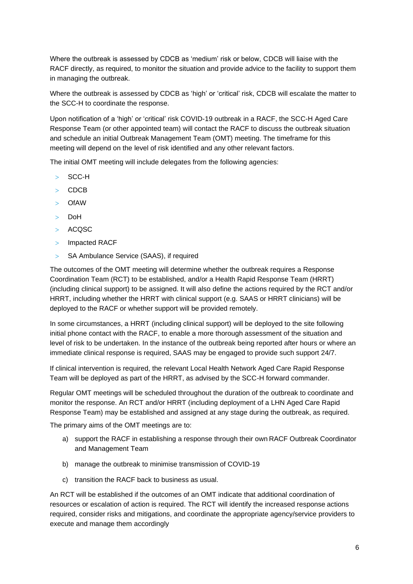Where the outbreak is assessed by CDCB as 'medium' risk or below, CDCB will liaise with the RACF directly, as required, to monitor the situation and provide advice to the facility to support them in managing the outbreak.

Where the outbreak is assessed by CDCB as 'high' or 'critical' risk, CDCB will escalate the matter to the SCC-H to coordinate the response.

Upon notification of a 'high' or 'critical' risk COVID-19 outbreak in a RACF, the SCC-H Aged Care Response Team (or other appointed team) will contact the RACF to discuss the outbreak situation and schedule an initial Outbreak Management Team (OMT) meeting. The timeframe for this meeting will depend on the level of risk identified and any other relevant factors.

The initial OMT meeting will include delegates from the following agencies:

- SCC-H
- > CDCB
- OfAW
- > DoH
- > ACQSC
- > Impacted RACF
- > SA Ambulance Service (SAAS), if required

The outcomes of the OMT meeting will determine whether the outbreak requires a Response Coordination Team (RCT) to be established, and/or a Health Rapid Response Team (HRRT) (including clinical support) to be assigned. It will also define the actions required by the RCT and/or HRRT, including whether the HRRT with clinical support (e.g. SAAS or HRRT clinicians) will be deployed to the RACF or whether support will be provided remotely.

In some circumstances, a HRRT (including clinical support) will be deployed to the site following initial phone contact with the RACF, to enable a more thorough assessment of the situation and level of risk to be undertaken. In the instance of the outbreak being reported after hours or where an immediate clinical response is required, SAAS may be engaged to provide such support 24/7.

If clinical intervention is required, the relevant Local Health Network Aged Care Rapid Response Team will be deployed as part of the HRRT, as advised by the SCC-H forward commander.

Regular OMT meetings will be scheduled throughout the duration of the outbreak to coordinate and monitor the response. An RCT and/or HRRT (including deployment of a LHN Aged Care Rapid Response Team) may be established and assigned at any stage during the outbreak, as required.

The primary aims of the OMT meetings are to:

- a) support the RACF in establishing a response through their own RACF Outbreak Coordinator and Management Team
- b) manage the outbreak to minimise transmission of COVID-19
- c) transition the RACF back to business as usual.

An RCT will be established if the outcomes of an OMT indicate that additional coordination of resources or escalation of action is required. The RCT will identify the increased response actions required, consider risks and mitigations, and coordinate the appropriate agency/service providers to execute and manage them accordingly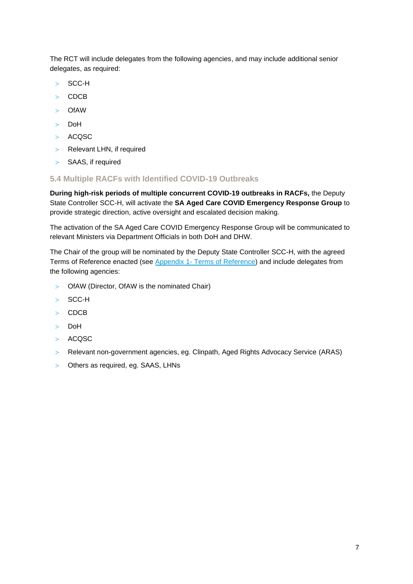The RCT will include delegates from the following agencies, and may include additional senior delegates, as required:

- $>$  SCC-H
- $>$  CDCB
- OfAW
- DoH
- > ACQSC
- > Relevant LHN, if required
- > SAAS, if required

## <span id="page-6-0"></span>**5.4 Multiple RACFs with Identified COVID-19 Outbreaks**

**During high-risk periods of multiple concurrent COVID-19 outbreaks in RACFs,** the Deputy State Controller SCC-H, will activate the **SA Aged Care COVID Emergency Response Group** to provide strategic direction, active oversight and escalated decision making.

The activation of the SA Aged Care COVID Emergency Response Group will be communicated to relevant Ministers via Department Officials in both DoH and DHW.

The Chair of the group will be nominated by the Deputy State Controller SCC-H, with the agreed Terms of Reference enacted (see Appendix 1- [Terms of Reference\)](#page-16-0) and include delegates from the following agencies:

- OfAW (Director, OfAW is the nominated Chair)
- > SCC-H
- > CDCB
- > DoH
- $>$  ACQSC
- Relevant non-government agencies, eg. Clinpath, Aged Rights Advocacy Service (ARAS)
- Others as required, eg. SAAS, LHNs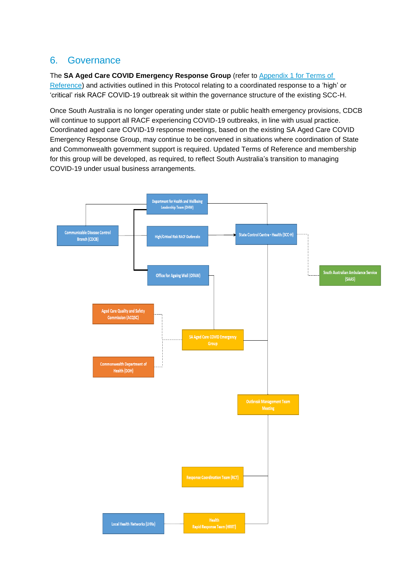# <span id="page-7-0"></span>6. Governance

The **SA Aged Care COVID Emergency Response Group** (refer to [Appendix 1 for Terms of](#page-16-0) 

[Reference\)](#page-16-0) and activities outlined in this Protocol relating to a coordinated response to a 'high' or 'critical' risk RACF COVID-19 outbreak sit within the governance structure of the existing SCC-H.

Once South Australia is no longer operating under state or public health emergency provisions, CDCB will continue to support all RACF experiencing COVID-19 outbreaks, in line with usual practice. Coordinated aged care COVID-19 response meetings, based on the existing SA Aged Care COVID Emergency Response Group, may continue to be convened in situations where coordination of State and Commonwealth government support is required. Updated Terms of Reference and membership for this group will be developed, as required, to reflect South Australia's transition to managing COVID-19 under usual business arrangements.

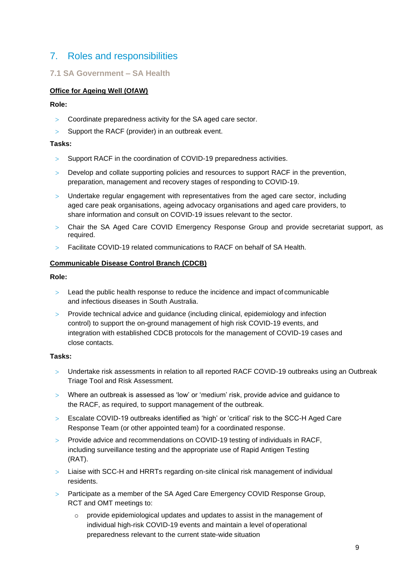# <span id="page-8-0"></span>7. Roles and responsibilities

## <span id="page-8-1"></span>**7.1 SA Government – SA Health**

#### <span id="page-8-2"></span>**Office for Ageing Well (OfAW)**

#### **Role:**

- Coordinate preparedness activity for the SA aged care sector.
- $>$  Support the RACF (provider) in an outbreak event.

#### **Tasks:**

- > Support RACF in the coordination of COVID-19 preparedness activities.
- Develop and collate supporting policies and resources to support RACF in the prevention, preparation, management and recovery stages of responding to COVID-19.
- $>$  Undertake regular engagement with representatives from the aged care sector, including aged care peak organisations, ageing advocacy organisations and aged care providers, to share information and consult on COVID-19 issues relevant to the sector.
- Chair the SA Aged Care COVID Emergency Response Group and provide secretariat support, as required.
- Facilitate COVID-19 related communications to RACF on behalf of SA Health.

#### <span id="page-8-3"></span>**Communicable Disease Control Branch (CDCB)**

#### **Role:**

- Lead the public health response to reduce the incidence and impact of communicable and infectious diseases in South Australia.
- Provide technical advice and guidance (including clinical, epidemiology and infection control) to support the on-ground management of high risk COVID-19 events, and integration with established CDCB protocols for the management of COVID-19 cases and close contacts.

- Undertake risk assessments in relation to all reported RACF COVID-19 outbreaks using an Outbreak Triage Tool and Risk Assessment.
- Where an outbreak is assessed as 'low' or 'medium' risk, provide advice and guidance to the RACF, as required, to support management of the outbreak.
- Escalate COVID-19 outbreaks identified as 'high' or 'critical' risk to the SCC-H Aged Care Response Team (or other appointed team) for a coordinated response.
- Provide advice and recommendations on COVID-19 testing of individuals in RACF, including surveillance testing and the appropriate use of Rapid Antigen Testing (RAT).
- Liaise with SCC-H and HRRTs regarding on-site clinical risk management of individual residents.
- > Participate as a member of the SA Aged Care Emergency COVID Response Group, RCT and OMT meetings to:
	- $\circ$  provide epidemiological updates and updates to assist in the management of individual high-risk COVID-19 events and maintain a level of operational preparedness relevant to the current state-wide situation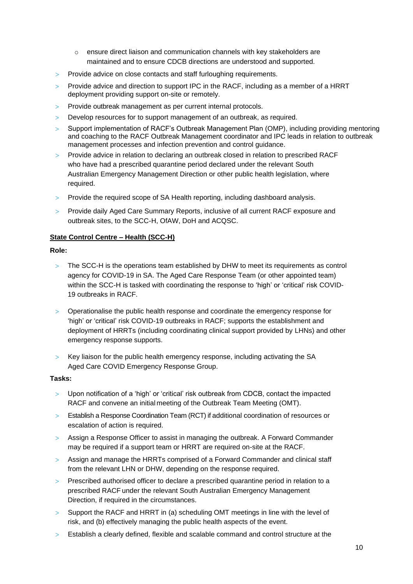- $\circ$  ensure direct liaison and communication channels with key stakeholders are maintained and to ensure CDCB directions are understood and supported.
- > Provide advice on close contacts and staff furloughing requirements.
- Provide advice and direction to support IPC in the RACF, including as a member of a HRRT deployment providing support on-site or remotely.
- > Provide outbreak management as per current internal protocols.
- Develop resources for to support management of an outbreak, as required.
- Support implementation of RACF's Outbreak Management Plan (OMP), including providing mentoring and coaching to the RACF Outbreak Management coordinator and IPC leads in relation to outbreak management processes and infection prevention and control guidance.
- Provide advice in relation to declaring an outbreak closed in relation to prescribed RACF who have had a prescribed quarantine period declared under the relevant South Australian Emergency Management Direction or other public health legislation, where required.
- Provide the required scope of SA Health reporting, including dashboard analysis.
- Provide daily Aged Care Summary Reports, inclusive of all current RACF exposure and outbreak sites, to the SCC-H, OfAW, DoH and ACQSC.

#### <span id="page-9-0"></span>**State Control Centre – Health (SCC-H)**

#### **Role:**

- The SCC-H is the operations team established by DHW to meet its requirements as control agency for COVID-19 in SA. The Aged Care Response Team (or other appointed team) within the SCC-H is tasked with coordinating the response to 'high' or 'critical' risk COVID-19 outbreaks in RACF.
- Operationalise the public health response and coordinate the emergency response for 'high' or 'critical' risk COVID-19 outbreaks in RACF; supports the establishment and deployment of HRRTs (including coordinating clinical support provided by LHNs) and other emergency response supports.
- Key liaison for the public health emergency response, including activating the SA Aged Care COVID Emergency Response Group.

- Upon notification of a 'high' or 'critical' risk outbreak from CDCB, contact the impacted RACF and convene an initial meeting of the Outbreak Team Meeting (OMT).
- Establish a Response Coordination Team (RCT) if additional coordination of resources or escalation of action is required.
- Assign a Response Officer to assist in managing the outbreak. A Forward Commander may be required if a support team or HRRT are required on-site at the RACF.
- Assign and manage the HRRTs comprised of a Forward Commander and clinical staff from the relevant LHN or DHW, depending on the response required.
- Prescribed authorised officer to declare a prescribed quarantine period in relation to a prescribed RACF under the relevant South Australian Emergency Management Direction, if required in the circumstances.
- Support the RACF and HRRT in (a) scheduling OMT meetings in line with the level of risk, and (b) effectively managing the public health aspects of the event.
- Establish a clearly defined, flexible and scalable command and control structure at the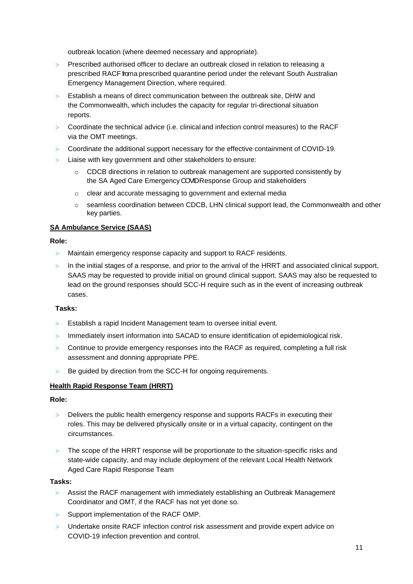outbreak location (where deemed necessary and appropriate).

- > Prescribed authorised officer to declare an outbreak closed in relation to releasing a prescribed RACF from a prescribed quarantine period under the relevant South Australian Emergency Management Direction, where required.
- Establish a means of direct communication between the outbreak site, DHW and the Commonwealth, which includes the capacity for regular tri-directional situation reports.
- Coordinate the technical advice (i.e. clinicaland infection control measures) to the RACF via the OMT meetings.
- Coordinate the additional support necessary for the effective containment of COVID-19.
- Liaise with key government and other stakeholders to ensure:
	- $\circ$  CDCB directions in relation to outbreak management are supported consistently by the SA Aged Care Emergency COVID Response Group and stakeholders
	- o clear and accurate messaging to government and external media
	- o seamless coordination between CDCB, LHN clinical support lead, the Commonwealth and other key parties.

## <span id="page-10-0"></span>**SA Ambulance Service (SAAS)**

#### **Role:**

- Maintain emergency response capacity and support to RACF residents.
- $>$  In the initial stages of a response, and prior to the arrival of the HRRT and associated clinical support, SAAS may be requested to provide initial on ground clinical support. SAAS may also be requested to lead on the ground responses should SCC-H require such as in the event of increasing outbreak cases.

#### **Tasks:**

- $>$  Establish a rapid Incident Management team to oversee initial event.
- > Immediately insert information into SACAD to ensure identification of epidemiological risk.
- Continue to provide emergency responses into the RACF as required, completing a full risk assessment and donning appropriate PPE.
- Be guided by direction from the SCC-H for ongoing requirements.

#### <span id="page-10-1"></span>**Health Rapid Response Team (HRRT)**

#### **Role:**

- Delivers the public health emergency response and supports RACFs in executing their roles. This may be delivered physically onsite or in a virtual capacity, contingent on the circumstances.
- The scope of the HRRT response will be proportionate to the situation-specific risks and state-wide capacity, and may include deployment of the relevant Local Health Network Aged Care Rapid Response Team

- Assist the RACF management with immediately establishing an Outbreak Management Coordinator and OMT, if the RACF has not yet done so.
- $>$  Support implementation of the RACF OMP.
- Undertake onsite RACF infection control risk assessment and provide expert advice on COVID-19 infection prevention and control.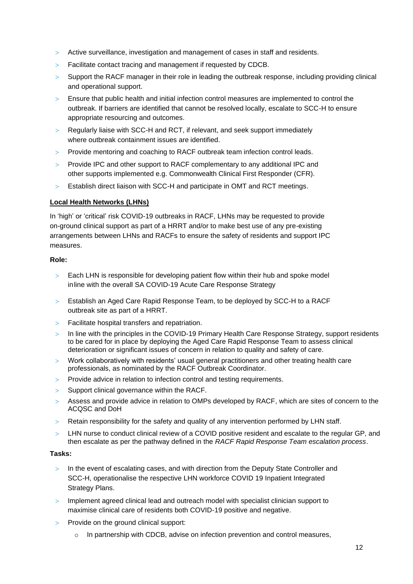- $>$  Active surveillance, investigation and management of cases in staff and residents.
- Facilitate contact tracing and management if requested by CDCB.
- Support the RACF manager in their role in leading the outbreak response, including providing clinical and operational support.
- Ensure that public health and initial infection control measures are implemented to control the outbreak. If barriers are identified that cannot be resolved locally, escalate to SCC-H to ensure appropriate resourcing and outcomes.
- Regularly liaise with SCC-H and RCT, if relevant, and seek support immediately where outbreak containment issues are identified.
- Provide mentoring and coaching to RACF outbreak team infection control leads.
- Provide IPC and other support to RACF complementary to any additional IPC and other supports implemented e.g. Commonwealth Clinical First Responder (CFR).
- Establish direct liaison with SCC-H and participate in OMT and RCT meetings.

#### <span id="page-11-0"></span>**Local Health Networks (LHNs)**

In 'high' or 'critical' risk COVID-19 outbreaks in RACF, LHNs may be requested to provide on-ground clinical support as part of a HRRT and/or to make best use of any pre-existing arrangements between LHNs and RACFs to ensure the safety of residents and support IPC measures.

#### **Role:**

- Each LHN is responsible for developing patient flow within their hub and spoke model inline with the overall SA COVID-19 Acute Care Response Strategy
- Establish an Aged Care Rapid Response Team, to be deployed by SCC-H to a RACF outbreak site as part of a HRRT.
- Facilitate hospital transfers and repatriation.
- In line with the principles in the COVID-19 Primary Health Care Response Strategy, support residents to be cared for in place by deploying the Aged Care Rapid Response Team to assess clinical deterioration or significant issues of concern in relation to quality and safety of care.
- Work collaboratively with residents' usual general practitioners and other treating health care professionals, as nominated by the RACF Outbreak Coordinator.
- > Provide advice in relation to infection control and testing requirements.
- $>$  Support clinical governance within the RACF.
- Assess and provide advice in relation to OMPs developed by RACF, which are sites of concern to the ACQSC and DoH
- Retain responsibility for the safety and quality of any intervention performed by LHN staff.
- > LHN nurse to conduct clinical review of a COVID positive resident and escalate to the regular GP, and then escalate as per the pathway defined in the *RACF Rapid Response Team escalation process*.

- $>$  In the event of escalating cases, and with direction from the Deputy State Controller and SCC-H, operationalise the respective LHN workforce COVID 19 Inpatient Integrated Strategy Plans.
- Implement agreed clinical lead and outreach model with specialist clinician support to maximise clinical care of residents both COVID-19 positive and negative.
- > Provide on the ground clinical support:
	- o In partnership with CDCB, advise on infection prevention and control measures,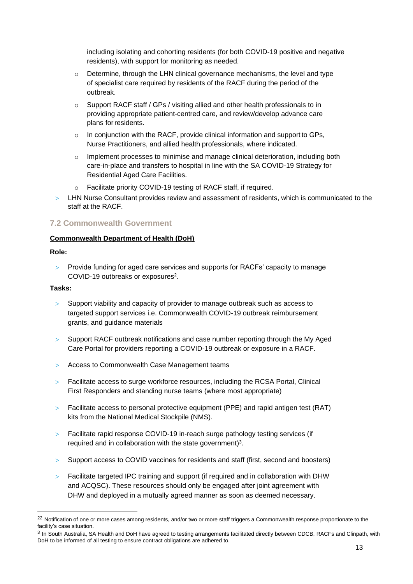including isolating and cohorting residents (for both COVID-19 positive and negative residents), with support for monitoring as needed.

- $\circ$  Determine, through the LHN clinical governance mechanisms, the level and type of specialist care required by residents of the RACF during the period of the outbreak.
- o Support RACF staff / GPs / visiting allied and other health professionals to in providing appropriate patient-centred care, and review/develop advance care plans forresidents.
- $\circ$  In conjunction with the RACF, provide clinical information and support to GPs, Nurse Practitioners, and allied health professionals, where indicated.
- $\circ$  Implement processes to minimise and manage clinical deterioration, including both care-in-place and transfers to hospital in line with the SA COVID-19 Strategy for Residential Aged Care Facilities.
- o Facilitate priority COVID-19 testing of RACF staff, if required.
- LHN Nurse Consultant provides review and assessment of residents, which is communicated to the staff at the RACF.

## <span id="page-12-0"></span>**7.2 Commonwealth Government**

#### <span id="page-12-1"></span>**Commonwealth Department of Health (DoH)**

#### **Role:**

 Provide funding for aged care services and supports for RACFs' capacity to manage COVID-19 outbreaks or exposures<sup>2</sup>.

- $>$  Support viability and capacity of provider to manage outbreak such as access to targeted support services i.e. Commonwealth COVID-19 outbreak reimbursement grants, and guidance materials
- > Support RACF outbreak notifications and case number reporting through the My Aged Care Portal for providers reporting a COVID-19 outbreak or exposure in a RACF.
- > Access to Commonwealth Case Management teams
- Facilitate access to surge workforce resources, including the RCSA Portal, Clinical First Responders and standing nurse teams (where most appropriate)
- Facilitate access to personal protective equipment (PPE) and rapid antigen test (RAT) kits from the National Medical Stockpile (NMS).
- Facilitate rapid response COVID-19 in-reach surge pathology testing services (if required and in collaboration with the state government) $3$ .
- Support access to COVID vaccines for residents and staff (first, second and boosters)
- Facilitate targeted IPC training and support (if required and in collaboration with DHW and ACQSC). These resources should only be engaged after joint agreement with DHW and deployed in a mutually agreed manner as soon as deemed necessary.

<sup>&</sup>lt;sup>22</sup> Notification of one or more cases among residents, and/or two or more staff triggers a Commonwealth response proportionate to the facility's case situation.

<sup>&</sup>lt;sup>3</sup> In South Australia, SA Health and DoH have agreed to testing arrangements facilitated directly between CDCB, RACFs and Clinpath, with DoH to be informed of all testing to ensure contract obligations are adhered to.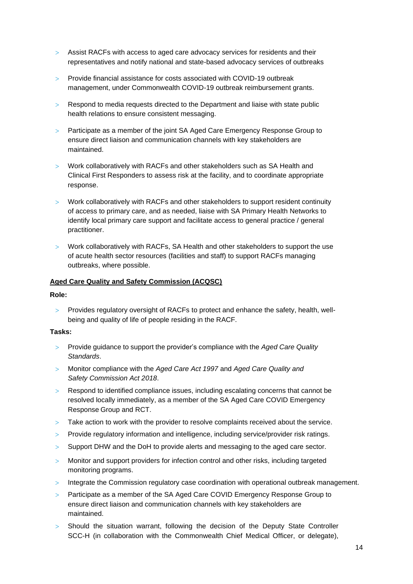- Assist RACFs with access to aged care advocacy services for residents and their representatives and notify national and state-based advocacy services of outbreaks
- Provide financial assistance for costs associated with COVID-19 outbreak management, under Commonwealth COVID-19 outbreak reimbursement grants.
- Respond to media requests directed to the Department and liaise with state public health relations to ensure consistent messaging.
- Participate as a member of the joint SA Aged Care Emergency Response Group to ensure direct liaison and communication channels with key stakeholders are maintained.
- Work collaboratively with RACFs and other stakeholders such as SA Health and Clinical First Responders to assess risk at the facility, and to coordinate appropriate response.
- $>$  Work collaboratively with RACFs and other stakeholders to support resident continuity of access to primary care, and as needed, liaise with SA Primary Health Networks to identify local primary care support and facilitate access to general practice / general practitioner.
- Work collaboratively with RACFs, SA Health and other stakeholders to support the use of acute health sector resources (facilities and staff) to support RACFs managing outbreaks, where possible.

#### <span id="page-13-0"></span>**Aged Care Quality and Safety Commission (ACQSC)**

#### **Role:**

 Provides regulatory oversight of RACFs to protect and enhance the safety, health, wellbeing and quality of life of people residing in the RACF.

- Provide guidance to support the provider's compliance with the *Aged Care Quality Standards*.
- Monitor compliance with the *Aged Care Act 1997* and *Aged Care Quality and Safety Commission Act 2018*.
- Respond to identified compliance issues, including escalating concerns that cannot be resolved locally immediately, as a member of the SA Aged Care COVID Emergency Response Group and RCT.
- Take action to work with the provider to resolve complaints received about the service.
- Provide regulatory information and intelligence, including service/provider risk ratings.
- > Support DHW and the DoH to provide alerts and messaging to the aged care sector.
- Monitor and support providers for infection control and other risks, including targeted monitoring programs.
- Integrate the Commission regulatory case coordination with operational outbreak management.
- Participate as a member of the SA Aged Care COVID Emergency Response Group to ensure direct liaison and communication channels with key stakeholders are maintained.
- $>$  Should the situation warrant, following the decision of the Deputy State Controller SCC-H (in collaboration with the Commonwealth Chief Medical Officer, or delegate),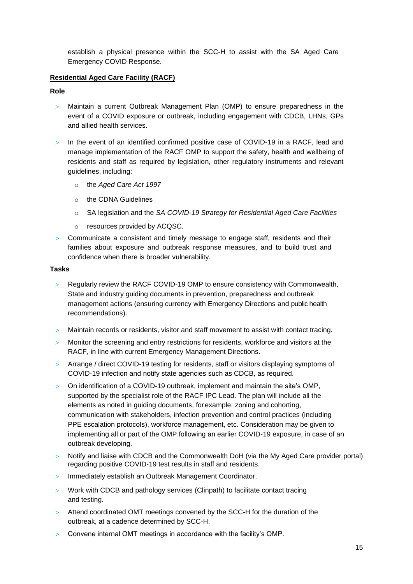establish a physical presence within the SCC-H to assist with the SA Aged Care Emergency COVID Response.

#### <span id="page-14-0"></span>**Residential Aged Care Facility (RACF)**

#### **Role**

- Maintain a current Outbreak Management Plan (OMP) to ensure preparedness in the event of a COVID exposure or outbreak, including engagement with CDCB, LHNs, GPs and allied health services.
- $>$  In the event of an identified confirmed positive case of COVID-19 in a RACF, lead and manage implementation of the RACF OMP to support the safety, health and wellbeing of residents and staff as required by legislation, other regulatory instruments and relevant guidelines, including:
	- o the *Aged Care Act 1997*
	- o the CDNA Guidelines
	- o SA legislation and the *SA COVID-19 Strategy for Residential Aged Care Facilities*
	- o resources provided by ACQSC.
- Communicate a consistent and timely message to engage staff, residents and their families about exposure and outbreak response measures, and to build trust and confidence when there is broader vulnerability.

- Regularly review the RACF COVID-19 OMP to ensure consistency with Commonwealth, State and industry guiding documents in prevention, preparedness and outbreak management actions (ensuring currency with Emergency Directions and public health recommendations).
- > Maintain records or residents, visitor and staff movement to assist with contact tracing.
- Monitor the screening and entry restrictions for residents, workforce and visitors at the RACF, in line with current Emergency Management Directions.
- Arrange / direct COVID-19 testing for residents, staff or visitors displaying symptoms of COVID-19 infection and notify state agencies such as CDCB, as required.
- On identification of a COVID-19 outbreak, implement and maintain the site's OMP, supported by the specialist role of the RACF IPC Lead. The plan will include all the elements as noted in guiding documents, forexample: zoning and cohorting, communication with stakeholders, infection prevention and control practices (including PPE escalation protocols), workforce management, etc. Consideration may be given to implementing all or part of the OMP following an earlier COVID-19 exposure, in case of an outbreak developing.
- Notify and liaise with CDCB and the Commonwealth DoH (via the My Aged Care provider portal) regarding positive COVID-19 test results in staff and residents.
- Immediately establish an Outbreak Management Coordinator.
- Work with CDCB and pathology services (Clinpath) to facilitate contact tracing and testing.
- Attend coordinated OMT meetings convened by the SCC-H for the duration of the outbreak, at a cadence determined by SCC-H.
- Convene internal OMT meetings in accordance with the facility's OMP.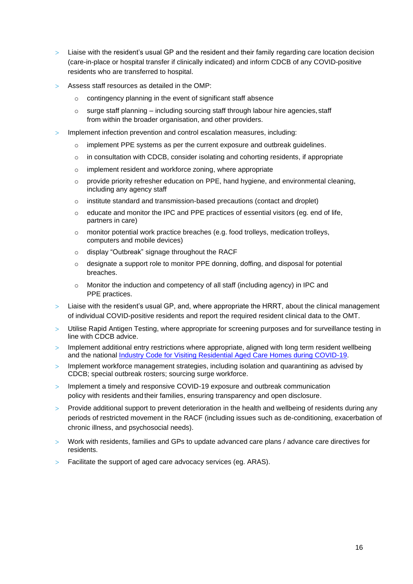- $>$  Liaise with the resident's usual GP and the resident and their family regarding care location decision (care-in-place or hospital transfer if clinically indicated) and inform CDCB of any COVID-positive residents who are transferred to hospital.
- Assess staff resources as detailed in the OMP:
	- o contingency planning in the event of significant staff absence
	- $\circ$  surge staff planning including sourcing staff through labour hire agencies, staff from within the broader organisation, and other providers.
- Implement infection prevention and control escalation measures, including:
	- o implement PPE systems as per the current exposure and outbreak guidelines.
	- $\circ$  in consultation with CDCB, consider isolating and cohorting residents, if appropriate
	- o implement resident and workforce zoning, where appropriate
	- $\circ$  provide priority refresher education on PPE, hand hygiene, and environmental cleaning, including any agency staff
	- o institute standard and transmission-based precautions (contact and droplet)
	- $\circ$  educate and monitor the IPC and PPE practices of essential visitors (eq. end of life, partners in care)
	- o monitor potential work practice breaches (e.g. food trolleys, medication trolleys, computers and mobile devices)
	- o display "Outbreak" signage throughout the RACF
	- $\circ$  designate a support role to monitor PPE donning, doffing, and disposal for potential breaches.
	- o Monitor the induction and competency of all staff (including agency) in IPC and PPE practices.
- $>$  Liaise with the resident's usual GP, and, where appropriate the HRRT, about the clinical management of individual COVID-positive residents and report the required resident clinical data to the OMT.
- Utilise Rapid Antigen Testing, where appropriate for screening purposes and for surveillance testing in line with CDCB advice.
- $>$  Implement additional entry restrictions where appropriate, aligned with long term resident wellbeing and the national **Industry Code for Visiting Residential Aged Care Homes during COVID-19.**
- $>$  Implement workforce management strategies, including isolation and quarantining as advised by CDCB; special outbreak rosters; sourcing surge workforce.
- Implement a timely and responsive COVID-19 exposure and outbreak communication policy with residents and their families, ensuring transparency and open disclosure.
- Provide additional support to prevent deterioration in the health and wellbeing of residents during any periods of restricted movement in the RACF (including issues such as de-conditioning, exacerbation of chronic illness, and psychosocial needs).
- Work with residents, families and GPs to update advanced care plans / advance care directives for residents.
- Facilitate the support of aged care advocacy services (eg. ARAS).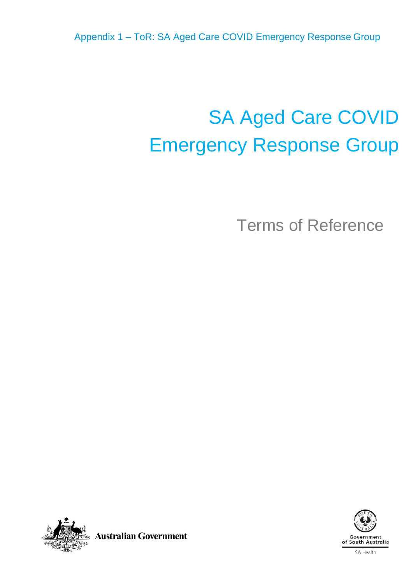# <span id="page-16-0"></span>SA Aged Care COVID Emergency Response Group

Terms of Reference



Government<br>of South Australia

**Australian Government** 

SA Health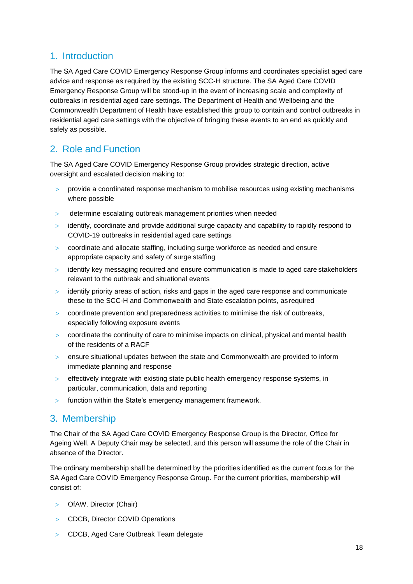# <span id="page-17-0"></span>1. Introduction

The SA Aged Care COVID Emergency Response Group informs and coordinates specialist aged care advice and response as required by the existing SCC-H structure. The SA Aged Care COVID Emergency Response Group will be stood-up in the event of increasing scale and complexity of outbreaks in residential aged care settings. The Department of Health and Wellbeing and the Commonwealth Department of Health have established this group to contain and control outbreaks in residential aged care settings with the objective of bringing these events to an end as quickly and safely as possible.

# <span id="page-17-1"></span>2. Role and Function

The SA Aged Care COVID Emergency Response Group provides strategic direction, active oversight and escalated decision making to:

- $>$  provide a coordinated response mechanism to mobilise resources using existing mechanisms where possible
- determine escalating outbreak management priorities when needed
- $>$  identify, coordinate and provide additional surge capacity and capability to rapidly respond to COVID-19 outbreaks in residential aged care settings
- coordinate and allocate staffing, including surge workforce as needed and ensure appropriate capacity and safety of surge staffing
- identify key messaging required and ensure communication is made to aged care stakeholders relevant to the outbreak and situational events
- $>$  identify priority areas of action, risks and gaps in the aged care response and communicate these to the SCC-H and Commonwealth and State escalation points, as required
- coordinate prevention and preparedness activities to minimise the risk of outbreaks, especially following exposure events
- $>$  coordinate the continuity of care to minimise impacts on clinical, physical and mental health of the residents of a RACF
- ensure situational updates between the state and Commonwealth are provided to inform immediate planning and response
- > effectively integrate with existing state public health emergency response systems, in particular, communication, data and reporting
- function within the State's emergency management framework.

# <span id="page-17-2"></span>3. Membership

The Chair of the SA Aged Care COVID Emergency Response Group is the Director, Office for Ageing Well. A Deputy Chair may be selected, and this person will assume the role of the Chair in absence of the Director.

The ordinary membership shall be determined by the priorities identified as the current focus for the SA Aged Care COVID Emergency Response Group. For the current priorities, membership will consist of:

- OfAW, Director (Chair)
- > CDCB, Director COVID Operations
- CDCB, Aged Care Outbreak Team delegate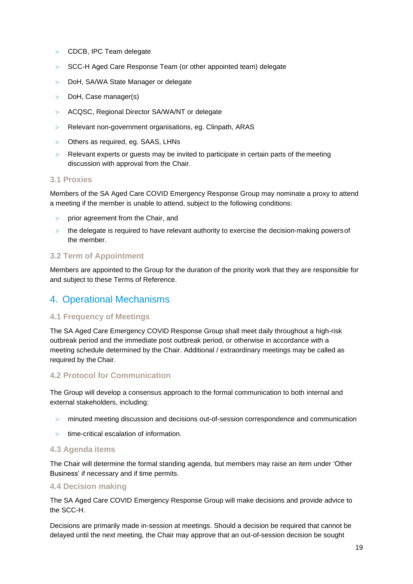- > CDCB, IPC Team delegate
- SCC-H Aged Care Response Team (or other appointed team) delegate
- > DoH, SA/WA State Manager or delegate
- > DoH, Case manager(s)
- ACQSC, Regional Director SA/WA/NT or delegate
- Relevant non-government organisations, eg. Clinpath, ARAS
- Others as required, eg. SAAS, LHNs
- Relevant experts or guests may be invited to participate in certain parts of the meeting discussion with approval from the Chair.

#### <span id="page-18-0"></span>**3.1 Proxies**

Members of the SA Aged Care COVID Emergency Response Group may nominate a proxy to attend a meeting if the member is unable to attend, subject to the following conditions:

- $>$  prior agreement from the Chair, and
- the delegate is required to have relevant authority to exercise the decision-making powersof the member.

## <span id="page-18-1"></span>**3.2 Term of Appointment**

Members are appointed to the Group for the duration of the priority work that they are responsible for and subject to these Terms of Reference.

## <span id="page-18-2"></span>4. Operational Mechanisms

## <span id="page-18-3"></span>**4.1 Frequency of Meetings**

The SA Aged Care Emergency COVID Response Group shall meet daily throughout a high-risk outbreak period and the immediate post outbreak period, or otherwise in accordance with a meeting schedule determined by the Chair. Additional / extraordinary meetings may be called as required by the Chair.

## <span id="page-18-4"></span>**4.2 Protocol for Communication**

The Group will develop a consensus approach to the formal communication to both internal and external stakeholders, including:

- > minuted meeting discussion and decisions out-of-session correspondence and communication
- time-critical escalation of information.

## <span id="page-18-5"></span>**4.3 Agenda items**

The Chair will determine the formal standing agenda, but members may raise an item under 'Other Business' if necessary and if time permits.

#### <span id="page-18-6"></span>**4.4 Decision making**

The SA Aged Care COVID Emergency Response Group will make decisions and provide advice to the SCC-H.

Decisions are primarily made in-session at meetings. Should a decision be required that cannot be delayed until the next meeting, the Chair may approve that an out-of-session decision be sought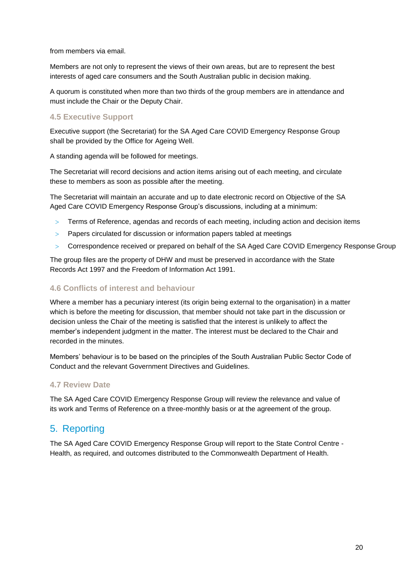from members via email.

Members are not only to represent the views of their own areas, but are to represent the best interests of aged care consumers and the South Australian public in decision making.

A quorum is constituted when more than two thirds of the group members are in attendance and must include the Chair or the Deputy Chair.

## <span id="page-19-0"></span>**4.5 Executive Support**

Executive support (the Secretariat) for the SA Aged Care COVID Emergency Response Group shall be provided by the Office for Ageing Well.

A standing agenda will be followed for meetings.

The Secretariat will record decisions and action items arising out of each meeting, and circulate these to members as soon as possible after the meeting.

The Secretariat will maintain an accurate and up to date electronic record on Objective of the SA Aged Care COVID Emergency Response Group's discussions, including at a minimum:

- Terms of Reference, agendas and records of each meeting, including action and decision items
- Papers circulated for discussion or information papers tabled at meetings
- Correspondence received or prepared on behalf of the SA Aged Care COVID Emergency Response Group

The group files are the property of DHW and must be preserved in accordance with the State Records Act 1997 and the Freedom of Information Act 1991.

#### <span id="page-19-1"></span>**4.6 Conflicts of interest and behaviour**

Where a member has a pecuniary interest (its origin being external to the organisation) in a matter which is before the meeting for discussion, that member should not take part in the discussion or decision unless the Chair of the meeting is satisfied that the interest is unlikely to affect the member's independent judgment in the matter. The interest must be declared to the Chair and recorded in the minutes.

Members' behaviour is to be based on the principles of the South Australian Public Sector Code of Conduct and the relevant Government Directives and Guidelines.

#### <span id="page-19-2"></span>**4.7 Review Date**

The SA Aged Care COVID Emergency Response Group will review the relevance and value of its work and Terms of Reference on a three-monthly basis or at the agreement of the group.

# <span id="page-19-3"></span>5. Reporting

The SA Aged Care COVID Emergency Response Group will report to the State Control Centre - Health, as required, and outcomes distributed to the Commonwealth Department of Health.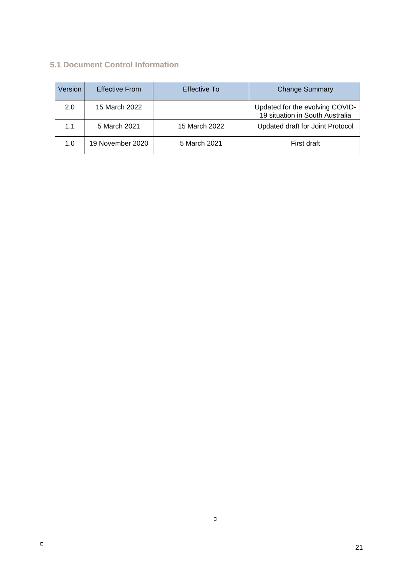## <span id="page-20-0"></span>**5.1 Document Control Information**

| Version | <b>Effective From</b> | Effective To  | <b>Change Summary</b>                                              |
|---------|-----------------------|---------------|--------------------------------------------------------------------|
| 2.0     | 15 March 2022         |               | Updated for the evolving COVID-<br>19 situation in South Australia |
| 1.1     | 5 March 2021          | 15 March 2022 | Updated draft for Joint Protocol                                   |
| 1.0     | 19 November 2020      | 5 March 2021  | First draft                                                        |

 $\Box$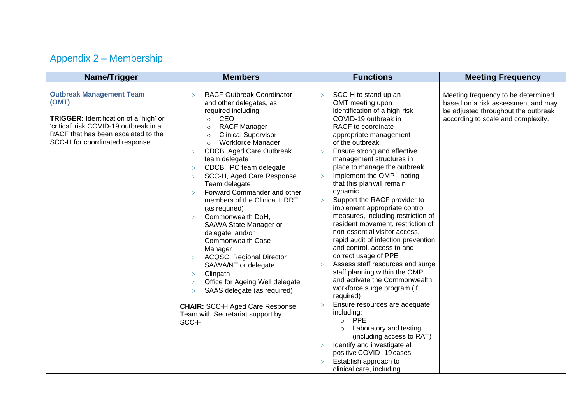# Appendix 2 – Membership

<span id="page-21-0"></span>

| Name/Trigger                                                                                                                                                                                           | <b>Members</b>                                                                                                                                                                                                                                                                                                                                                                                                                                                                                                                                                                                                                                                                                                                                                                                                                                                               | <b>Functions</b>                                                                                                                                                                                                                                                                                                                                                                                                                                                                                                                                                                                                                                                                                                                                                                                                                                                                                                                                                                                                                                                                                              | <b>Meeting Frequency</b>                                                                                                                              |
|--------------------------------------------------------------------------------------------------------------------------------------------------------------------------------------------------------|------------------------------------------------------------------------------------------------------------------------------------------------------------------------------------------------------------------------------------------------------------------------------------------------------------------------------------------------------------------------------------------------------------------------------------------------------------------------------------------------------------------------------------------------------------------------------------------------------------------------------------------------------------------------------------------------------------------------------------------------------------------------------------------------------------------------------------------------------------------------------|---------------------------------------------------------------------------------------------------------------------------------------------------------------------------------------------------------------------------------------------------------------------------------------------------------------------------------------------------------------------------------------------------------------------------------------------------------------------------------------------------------------------------------------------------------------------------------------------------------------------------------------------------------------------------------------------------------------------------------------------------------------------------------------------------------------------------------------------------------------------------------------------------------------------------------------------------------------------------------------------------------------------------------------------------------------------------------------------------------------|-------------------------------------------------------------------------------------------------------------------------------------------------------|
| <b>Outbreak Management Team</b><br>(OMT)<br>TRIGGER: Identification of a 'high' or<br>'critical' risk COVID-19 outbreak in a<br>RACF that has been escalated to the<br>SCC-H for coordinated response. | <b>RACF Outbreak Coordinator</b><br>$\geq$<br>and other delegates, as<br>required including:<br>CEO<br>$\circ$<br><b>RACF Manager</b><br>$\circ$<br><b>Clinical Supervisor</b><br>$\circ$<br><b>Workforce Manager</b><br>$\circ$<br>CDCB, Aged Care Outbreak<br>$\geq$<br>team delegate<br>CDCB, IPC team delegate<br>$\geq$<br>SCC-H, Aged Care Response<br>$\geq$<br>Team delegate<br>Forward Commander and other<br>$\geq$<br>members of the Clinical HRRT<br>(as required)<br>Commonwealth DoH,<br>$\geq$<br>SA/WA State Manager or<br>delegate, and/or<br><b>Commonwealth Case</b><br>Manager<br><b>ACQSC, Regional Director</b><br>$\geq$<br>SA/WA/NT or delegate<br>Clinpath<br>$\rm{>}$<br>Office for Ageing Well delegate<br>$\geq$<br>SAAS delegate (as required)<br>$\geq$<br><b>CHAIR: SCC-H Aged Care Response</b><br>Team with Secretariat support by<br>SCC-H | SCC-H to stand up an<br>$\geq$<br>OMT meeting upon<br>identification of a high-risk<br>COVID-19 outbreak in<br>RACF to coordinate<br>appropriate management<br>of the outbreak.<br>Ensure strong and effective<br>$\geq$<br>management structures in<br>place to manage the outbreak<br>Implement the OMP- noting<br>$\geq$<br>that this plan will remain<br>dynamic<br>Support the RACF provider to<br>$\geq$<br>implement appropriate control<br>measures, including restriction of<br>resident movement, restriction of<br>non-essential visitor access,<br>rapid audit of infection prevention<br>and control, access to and<br>correct usage of PPE<br>Assess staff resources and surge<br>$\geq$<br>staff planning within the OMP<br>and activate the Commonwealth<br>workforce surge program (if<br>required)<br>Ensure resources are adequate,<br>$\geq$<br>including:<br><b>PPE</b><br>$\circ$<br>Laboratory and testing<br>$\circ$<br>(including access to RAT)<br>Identify and investigate all<br>$\geq$<br>positive COVID-19 cases<br>Establish approach to<br>$\geq$<br>clinical care, including | Meeting frequency to be determined<br>based on a risk assessment and may<br>be adjusted throughout the outbreak<br>according to scale and complexity. |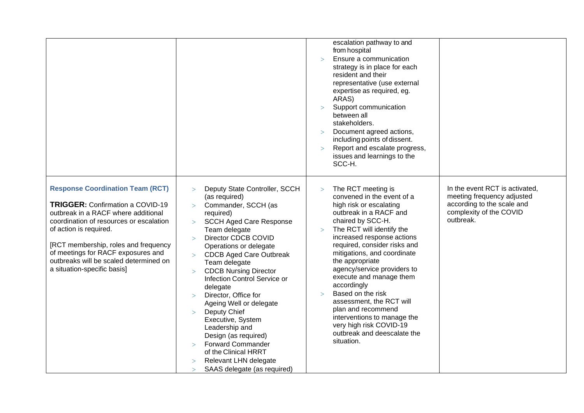|                                                                                                                                                                                                                                                                                                                                                       |                                                                                                                                                                                                                                                                                                                                                                                                                                                                                                                                                                                                                                                                              | escalation pathway to and<br>from hospital<br>Ensure a communication<br>$\geq$<br>strategy is in place for each<br>resident and their<br>representative (use external<br>expertise as required, eg.<br>ARAS)<br>Support communication<br>$\geq$<br>between all<br>stakeholders.<br>Document agreed actions,<br>$\geq$<br>including points of dissent.<br>Report and escalate progress,<br>$\geq$<br>issues and learnings to the<br>SCC-H.                                                                                                          |                                                                                                                                    |
|-------------------------------------------------------------------------------------------------------------------------------------------------------------------------------------------------------------------------------------------------------------------------------------------------------------------------------------------------------|------------------------------------------------------------------------------------------------------------------------------------------------------------------------------------------------------------------------------------------------------------------------------------------------------------------------------------------------------------------------------------------------------------------------------------------------------------------------------------------------------------------------------------------------------------------------------------------------------------------------------------------------------------------------------|----------------------------------------------------------------------------------------------------------------------------------------------------------------------------------------------------------------------------------------------------------------------------------------------------------------------------------------------------------------------------------------------------------------------------------------------------------------------------------------------------------------------------------------------------|------------------------------------------------------------------------------------------------------------------------------------|
| <b>Response Coordination Team (RCT)</b><br><b>TRIGGER: Confirmation a COVID-19</b><br>outbreak in a RACF where additional<br>coordination of resources or escalation<br>of action is required.<br>[RCT membership, roles and frequency<br>of meetings for RACF exposures and<br>outbreaks will be scaled determined on<br>a situation-specific basis] | Deputy State Controller, SCCH<br>$\geq$<br>(as required)<br>Commander, SCCH (as<br>$\geq$<br>required)<br><b>SCCH Aged Care Response</b><br>$\geq$<br>Team delegate<br>Director CDCB COVID<br>$\geq$<br>Operations or delegate<br><b>CDCB Aged Care Outbreak</b><br>$\geq$<br>Team delegate<br><b>CDCB Nursing Director</b><br>$\geq$<br>Infection Control Service or<br>delegate<br>Director, Office for<br>$\geq$<br>Ageing Well or delegate<br>Deputy Chief<br>$\geq$<br>Executive, System<br>Leadership and<br>Design (as required)<br><b>Forward Commander</b><br>$\geq$<br>of the Clinical HRRT<br>Relevant LHN delegate<br>><br>SAAS delegate (as required)<br>$\geq$ | The RCT meeting is<br>$\geq$<br>convened in the event of a<br>high risk or escalating<br>outbreak in a RACF and<br>chaired by SCC-H.<br>The RCT will identify the<br>increased response actions<br>required, consider risks and<br>mitigations, and coordinate<br>the appropriate<br>agency/service providers to<br>execute and manage them<br>accordingly<br>Based on the risk<br>$\geq$<br>assessment, the RCT will<br>plan and recommend<br>interventions to manage the<br>very high risk COVID-19<br>outbreak and deescalate the<br>situation. | In the event RCT is activated,<br>meeting frequency adjusted<br>according to the scale and<br>complexity of the COVID<br>outbreak. |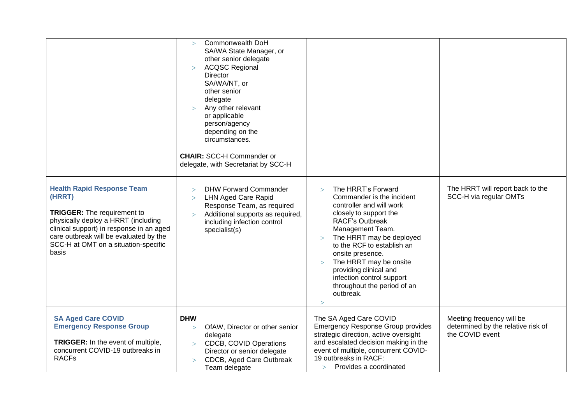| <b>Health Rapid Response Team</b><br>(HRRT)<br><b>TRIGGER:</b> The requirement to<br>physically deploy a HRRT (including<br>clinical support) in response in an aged<br>care outbreak will be evaluated by the<br>SCC-H at OMT on a situation-specific<br>basis | Commonwealth DoH<br>$\geq$<br>SA/WA State Manager, or<br>other senior delegate<br><b>ACQSC Regional</b><br>$\geq$<br><b>Director</b><br>SA/WA/NT, or<br>other senior<br>delegate<br>Any other relevant<br>$\geq$<br>or applicable<br>person/agency<br>depending on the<br>circumstances.<br><b>CHAIR: SCC-H Commander or</b><br>delegate, with Secretariat by SCC-H<br><b>DHW Forward Commander</b><br>$\geq$<br><b>LHN Aged Care Rapid</b><br>$\geq$<br>Response Team, as required<br>Additional supports as required,<br>$\geq$<br>including infection control<br>specialist(s) | The HRRT's Forward<br>$\geq$<br>Commander is the incident<br>controller and will work<br>closely to support the<br><b>RACF's Outbreak</b><br>Management Team.<br>The HRRT may be deployed<br>to the RCF to establish an<br>onsite presence.<br>The HRRT may be onsite<br>$\geq$<br>providing clinical and<br>infection control support<br>throughout the period of an<br>outbreak. | The HRRT will report back to the<br>SCC-H via regular OMTs                         |
|-----------------------------------------------------------------------------------------------------------------------------------------------------------------------------------------------------------------------------------------------------------------|-----------------------------------------------------------------------------------------------------------------------------------------------------------------------------------------------------------------------------------------------------------------------------------------------------------------------------------------------------------------------------------------------------------------------------------------------------------------------------------------------------------------------------------------------------------------------------------|------------------------------------------------------------------------------------------------------------------------------------------------------------------------------------------------------------------------------------------------------------------------------------------------------------------------------------------------------------------------------------|------------------------------------------------------------------------------------|
| <b>SA Aged Care COVID</b><br><b>Emergency Response Group</b><br>TRIGGER: In the event of multiple,<br>concurrent COVID-19 outbreaks in<br><b>RACFs</b>                                                                                                          | <b>DHW</b><br>OfAW, Director or other senior<br>$\geq$<br>delegate<br><b>CDCB, COVID Operations</b><br>$\geq$<br>Director or senior delegate<br>CDCB, Aged Care Outbreak<br>$\geq$<br>Team delegate                                                                                                                                                                                                                                                                                                                                                                               | The SA Aged Care COVID<br><b>Emergency Response Group provides</b><br>strategic direction, active oversight<br>and escalated decision making in the<br>event of multiple, concurrent COVID-<br>19 outbreaks in RACF:<br>Provides a coordinated<br>$\geq$                                                                                                                           | Meeting frequency will be<br>determined by the relative risk of<br>the COVID event |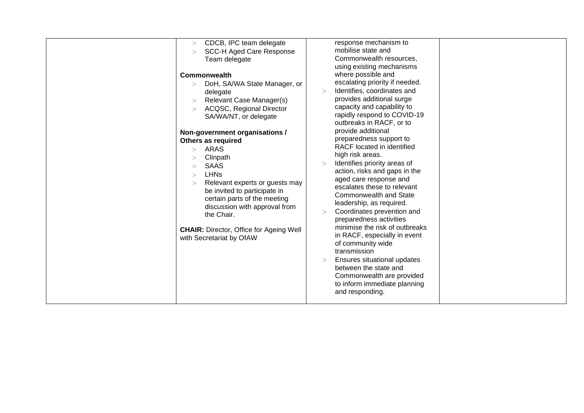| CDCB, IPC team delegate<br>$\geq$<br><b>SCC-H Aged Care Response</b><br>$\geq$<br>Team delegate<br>Commonwealth<br>DoH, SA/WA State Manager, or<br>$\geq$<br>delegate<br>Relevant Case Manager(s)<br>$\geq$<br>ACQSC, Regional Director<br>$\geq$<br>SA/WA/NT, or delegate<br>Non-government organisations /<br><b>Others as required</b><br><b>ARAS</b><br>$\geq$<br>Clinpath<br>$\geq$<br><b>SAAS</b><br>$\geq$<br><b>LHNs</b><br>$\geq$<br>Relevant experts or guests may<br>$\geq$<br>be invited to participate in<br>certain parts of the meeting<br>discussion with approval from | response mechanism to<br>mobilise state and<br>Commonwealth resources,<br>using existing mechanisms<br>where possible and<br>escalating priority if needed.<br>Identifies, coordinates and<br>$\geq$<br>provides additional surge<br>capacity and capability to<br>rapidly respond to COVID-19<br>outbreaks in RACF, or to<br>provide additional<br>preparedness support to<br>RACF located in identified<br>high risk areas.<br>Identifies priority areas of<br>$\geq$<br>action, risks and gaps in the<br>aged care response and<br>escalates these to relevant<br>Commonwealth and State<br>leadership, as required. |
|-----------------------------------------------------------------------------------------------------------------------------------------------------------------------------------------------------------------------------------------------------------------------------------------------------------------------------------------------------------------------------------------------------------------------------------------------------------------------------------------------------------------------------------------------------------------------------------------|-------------------------------------------------------------------------------------------------------------------------------------------------------------------------------------------------------------------------------------------------------------------------------------------------------------------------------------------------------------------------------------------------------------------------------------------------------------------------------------------------------------------------------------------------------------------------------------------------------------------------|
|                                                                                                                                                                                                                                                                                                                                                                                                                                                                                                                                                                                         |                                                                                                                                                                                                                                                                                                                                                                                                                                                                                                                                                                                                                         |
| the Chair.<br><b>CHAIR:</b> Director, Office for Ageing Well<br>with Secretariat by OfAW                                                                                                                                                                                                                                                                                                                                                                                                                                                                                                | Coordinates prevention and<br>preparedness activities<br>minimise the risk of outbreaks<br>in RACF, especially in event<br>of community wide<br>transmission<br>Ensures situational updates<br>$\geq$<br>between the state and<br>Commonwealth are provided<br>to inform immediate planning<br>and responding.                                                                                                                                                                                                                                                                                                          |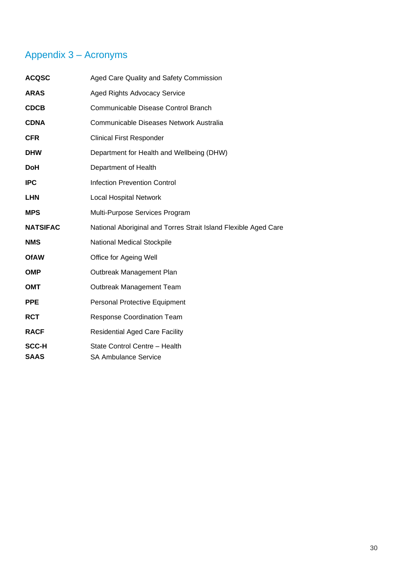# <span id="page-25-0"></span>Appendix 3 – Acronyms

| <b>ACQSC</b>                | Aged Care Quality and Safety Commission                         |
|-----------------------------|-----------------------------------------------------------------|
| <b>ARAS</b>                 | <b>Aged Rights Advocacy Service</b>                             |
| <b>CDCB</b>                 | Communicable Disease Control Branch                             |
| <b>CDNA</b>                 | Communicable Diseases Network Australia                         |
| <b>CFR</b>                  | <b>Clinical First Responder</b>                                 |
| <b>DHW</b>                  | Department for Health and Wellbeing (DHW)                       |
| <b>DoH</b>                  | Department of Health                                            |
| <b>IPC</b>                  | <b>Infection Prevention Control</b>                             |
| LHN                         | <b>Local Hospital Network</b>                                   |
| <b>MPS</b>                  | Multi-Purpose Services Program                                  |
| <b>NATSIFAC</b>             | National Aboriginal and Torres Strait Island Flexible Aged Care |
| <b>NMS</b>                  | <b>National Medical Stockpile</b>                               |
| <b>Of AW</b>                | Office for Ageing Well                                          |
| <b>OMP</b>                  | Outbreak Management Plan                                        |
| <b>OMT</b>                  | Outbreak Management Team                                        |
| <b>PPE</b>                  | Personal Protective Equipment                                   |
| <b>RCT</b>                  | <b>Response Coordination Team</b>                               |
| <b>RACF</b>                 | <b>Residential Aged Care Facility</b>                           |
| <b>SCC-H</b><br><b>SAAS</b> | State Control Centre - Health<br><b>SA Ambulance Service</b>    |
|                             |                                                                 |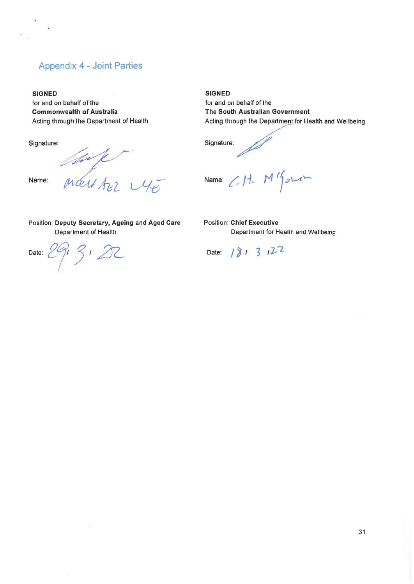# Appendix 4 - Joint Parties

#### SIGNED

for and on behalf of the Commonwealth of Australia Acting through the Department of Health

Signature: Signature: Signature: Signature: Signature: Signature: Signature: Signature: Signature: Signature: Signature: Signature: Signature: Signature: Signature: Signature: Signature: Signature: Signature: Signature: Si Name:  $M$  $(2)$   $M$  $(3)$   $M$  $(4)$ 

Position: Deputy Secretary, Ageing and Aged Care

**SIGNED** 

for and on behalf of the The South Australian Government Acting through the Department for Health and Wellbeing

Position: Chief Executive Department for Health and Wellbeing

Date:  $29/3/22$ 

Department of Health

Date:  $1 \overline{3}$  /  $3$  /2<sup>-2</sup>